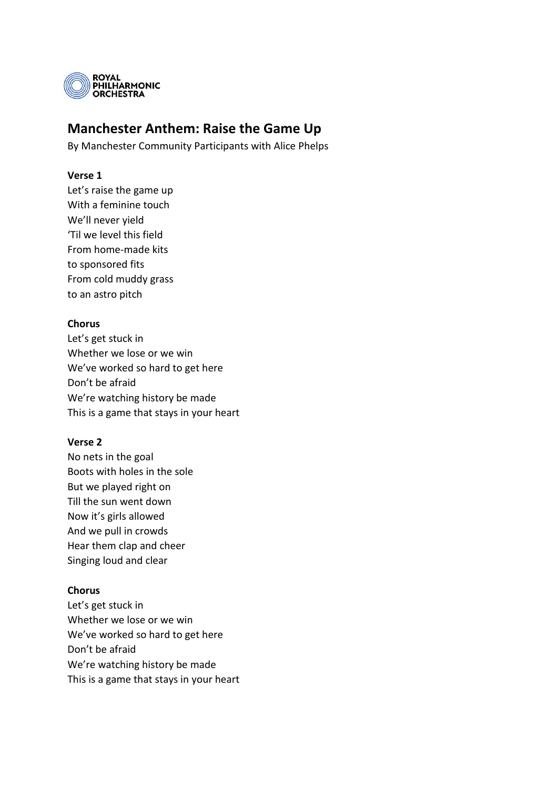

# **Manchester Anthem: Raise the Game Up**

By Manchester Community Participants with Alice Phelps

## **Verse 1**

Let's raise the game up With a feminine touch We'll never yield 'Til we level this field From home-made kits to sponsored fits From cold muddy grass to an astro pitch

### **Chorus**

Let's get stuck in Whether we lose or we win We've worked so hard to get here Don't be afraid We're watching history be made This is a game that stays in your heart

#### **Verse 2**

No nets in the goal Boots with holes in the sole But we played right on Till the sun went down Now it's girls allowed And we pull in crowds Hear them clap and cheer Singing loud and clear

# **Chorus**

Let's get stuck in Whether we lose or we win We've worked so hard to get here Don't be afraid We're watching history be made This is a game that stays in your heart